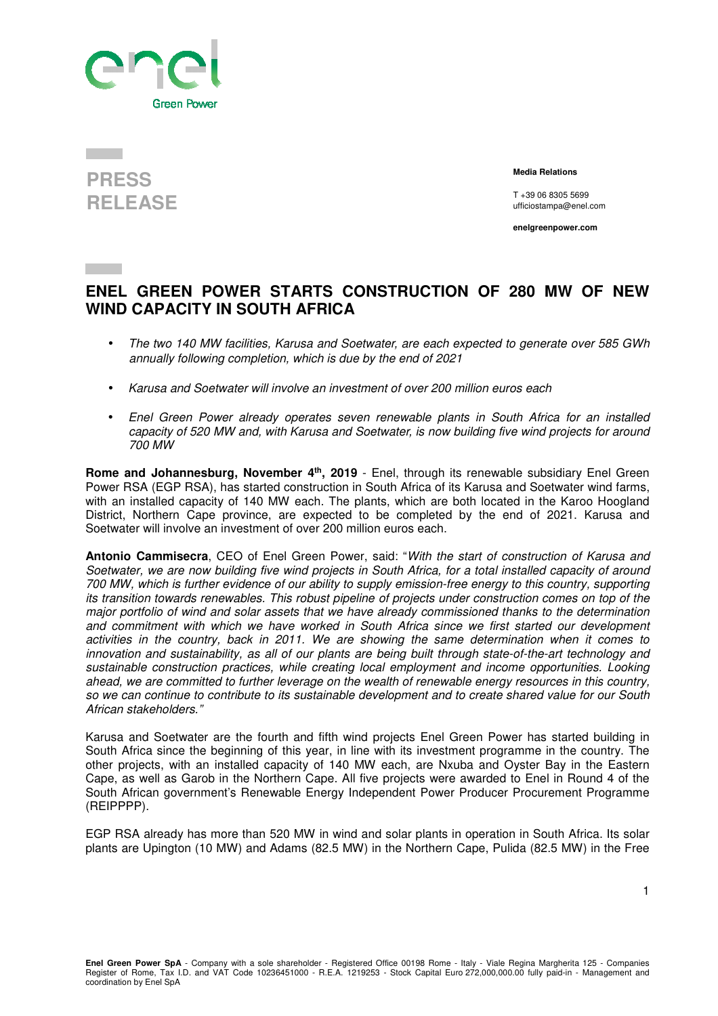

## **PRESS RELEASE**

 **Media Relations** 

T +39 06 8305 5699 ufficiostampa@enel.com

**enelgreenpower.com**

## **ENEL GREEN POWER STARTS CONSTRUCTION OF 280 MW OF NEW WIND CAPACITY IN SOUTH AFRICA**

- The two 140 MW facilities, Karusa and Soetwater, are each expected to generate over 585 GWh annually following completion, which is due by the end of 2021
- Karusa and Soetwater will involve an investment of over 200 million euros each
- Enel Green Power already operates seven renewable plants in South Africa for an installed capacity of 520 MW and, with Karusa and Soetwater, is now building five wind projects for around 700 MW

**Rome and Johannesburg, November 4th, 2019** - Enel, through its renewable subsidiary Enel Green Power RSA (EGP RSA), has started construction in South Africa of its Karusa and Soetwater wind farms, with an installed capacity of 140 MW each. The plants, which are both located in the Karoo Hoogland District, Northern Cape province, are expected to be completed by the end of 2021. Karusa and Soetwater will involve an investment of over 200 million euros each.

**Antonio Cammisecra**, CEO of Enel Green Power, said: "With the start of construction of Karusa and Soetwater, we are now building five wind projects in South Africa, for a total installed capacity of around 700 MW, which is further evidence of our ability to supply emission-free energy to this country, supporting its transition towards renewables. This robust pipeline of projects under construction comes on top of the major portfolio of wind and solar assets that we have already commissioned thanks to the determination and commitment with which we have worked in South Africa since we first started our development activities in the country, back in 2011. We are showing the same determination when it comes to innovation and sustainability, as all of our plants are being built through state-of-the-art technology and sustainable construction practices, while creating local employment and income opportunities. Looking ahead, we are committed to further leverage on the wealth of renewable energy resources in this country, so we can continue to contribute to its sustainable development and to create shared value for our South African stakeholders."

Karusa and Soetwater are the fourth and fifth wind projects Enel Green Power has started building in South Africa since the beginning of this year, in line with its investment programme in the country. The other projects, with an installed capacity of 140 MW each, are Nxuba and Oyster Bay in the Eastern Cape, as well as Garob in the Northern Cape. All five projects were awarded to Enel in Round 4 of the South African government's Renewable Energy Independent Power Producer Procurement Programme (REIPPPP).

EGP RSA already has more than 520 MW in wind and solar plants in operation in South Africa. Its solar plants are Upington (10 MW) and Adams (82.5 MW) in the Northern Cape, Pulida (82.5 MW) in the Free